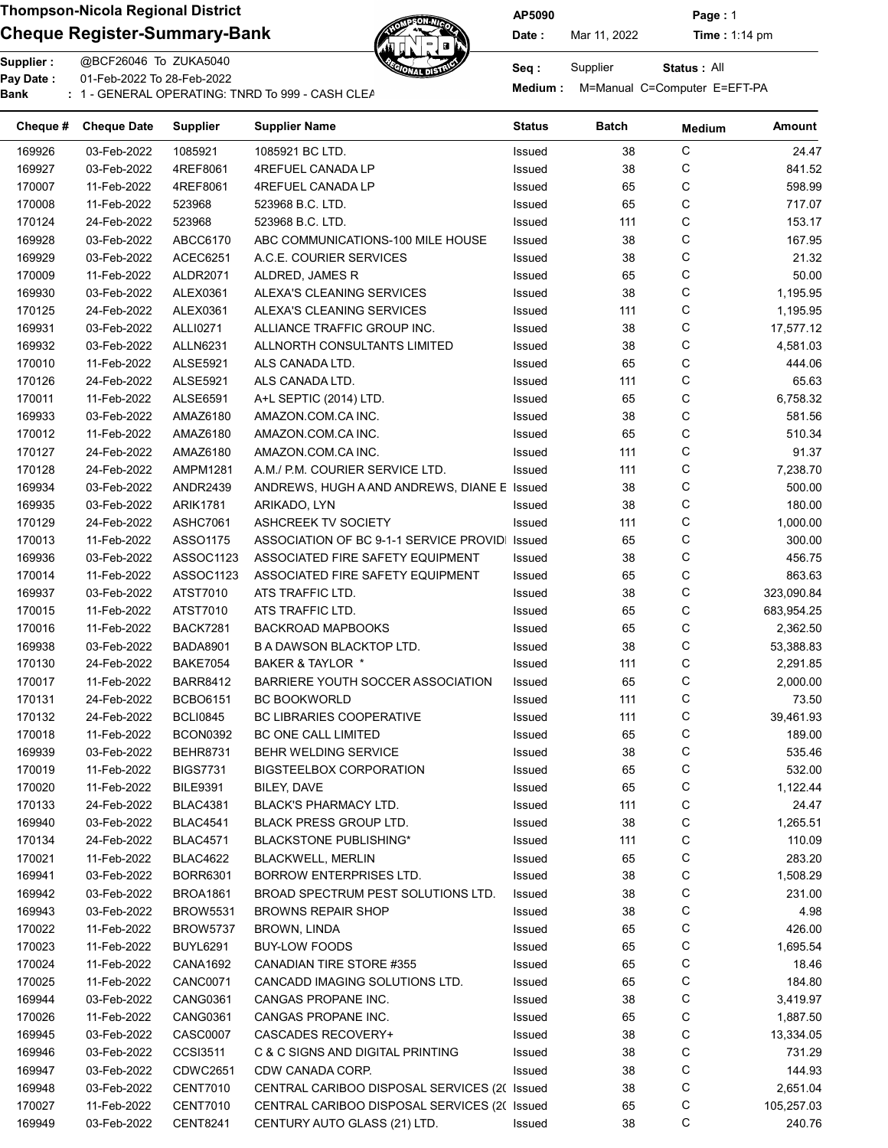# Cheque Register-Summary-Bank Date: Nar 11, 2022 Time : 1:14 pm



AP5090 Page : 1

Status : All

| Cheque # | <b>Cheque Date</b> | <b>Supplier</b> | <b>Supplier Name</b>                         | Status | Batch | <b>Medium</b> | Amount     |
|----------|--------------------|-----------------|----------------------------------------------|--------|-------|---------------|------------|
| 169926   | 03-Feb-2022        | 1085921         | 1085921 BC LTD.                              | Issued | 38    | С             | 24.47      |
| 169927   | 03-Feb-2022        | 4REF8061        | 4REFUEL CANADA LP                            | Issued | 38    | С             | 841.52     |
| 170007   | 11-Feb-2022        | 4REF8061        | 4REFUEL CANADA LP                            | Issued | 65    | C             | 598.99     |
| 170008   | 11-Feb-2022        | 523968          | 523968 B.C. LTD.                             | Issued | 65    | C             | 717.07     |
| 170124   | 24-Feb-2022        | 523968          | 523968 B.C. LTD.                             | Issued | 111   | С             | 153.17     |
| 169928   | 03-Feb-2022        | ABCC6170        | ABC COMMUNICATIONS-100 MILE HOUSE            | Issued | 38    | С             | 167.95     |
| 169929   | 03-Feb-2022        | ACEC6251        | A.C.E. COURIER SERVICES                      | Issued | 38    | C             | 21.32      |
| 170009   | 11-Feb-2022        | ALDR2071        | ALDRED, JAMES R                              | Issued | 65    | C             | 50.00      |
| 169930   | 03-Feb-2022        | ALEX0361        | ALEXA'S CLEANING SERVICES                    | Issued | 38    | С             | 1,195.95   |
| 170125   | 24-Feb-2022        | ALEX0361        | ALEXA'S CLEANING SERVICES                    | Issued | 111   | С             | 1,195.95   |
| 169931   | 03-Feb-2022        | ALLI0271        | ALLIANCE TRAFFIC GROUP INC.                  | Issued | 38    | C             | 17,577.12  |
| 169932   | 03-Feb-2022        | <b>ALLN6231</b> | ALLNORTH CONSULTANTS LIMITED                 | Issued | 38    | C             | 4,581.03   |
| 170010   | 11-Feb-2022        | <b>ALSE5921</b> | ALS CANADA LTD.                              | Issued | 65    | С             | 444.06     |
| 170126   | 24-Feb-2022        | <b>ALSE5921</b> | ALS CANADA LTD.                              | Issued | 111   | С             | 65.63      |
| 170011   | 11-Feb-2022        | ALSE6591        | A+L SEPTIC (2014) LTD.                       | Issued | 65    | C             | 6,758.32   |
| 169933   | 03-Feb-2022        | AMAZ6180        | AMAZON.COM.CA INC.                           | Issued | 38    | C             | 581.56     |
| 170012   | 11-Feb-2022        | AMAZ6180        | AMAZON COM CA INC.                           | Issued | 65    | С             | 510.34     |
| 170127   | 24-Feb-2022        | AMAZ6180        | AMAZON.COM.CA INC.                           | Issued | 111   | С             | 91.37      |
| 170128   | 24-Feb-2022        | <b>AMPM1281</b> | A.M./ P.M. COURIER SERVICE LTD.              | Issued | 111   | C             | 7,238.70   |
| 169934   | 03-Feb-2022        | <b>ANDR2439</b> | ANDREWS, HUGH A AND ANDREWS, DIANE E Issued  |        | 38    | С             | 500.00     |
|          |                    |                 |                                              |        | 38    | С             | 180.00     |
| 169935   | 03-Feb-2022        | <b>ARIK1781</b> | ARIKADO, LYN                                 | Issued | 111   | С             |            |
| 170129   | 24-Feb-2022        | ASHC7061        | ASHCREEK TV SOCIETY                          | Issued |       |               | 1,000.00   |
| 170013   | 11-Feb-2022        | ASSO1175        | ASSOCIATION OF BC 9-1-1 SERVICE PROVIDI      | Issued | 65    | С             | 300.00     |
| 169936   | 03-Feb-2022        | ASSOC1123       | ASSOCIATED FIRE SAFETY EQUIPMENT             | Issued | 38    | С             | 456.75     |
| 170014   | 11-Feb-2022        | ASSOC1123       | ASSOCIATED FIRE SAFETY EQUIPMENT             | Issued | 65    | С             | 863.63     |
| 169937   | 03-Feb-2022        | ATST7010        | ATS TRAFFIC LTD.                             | Issued | 38    | С             | 323,090.84 |
| 170015   | 11-Feb-2022        | ATST7010        | ATS TRAFFIC LTD.                             | Issued | 65    | С             | 683,954.25 |
| 170016   | 11-Feb-2022        | <b>BACK7281</b> | <b>BACKROAD MAPBOOKS</b>                     | Issued | 65    | С             | 2,362.50   |
| 169938   | 03-Feb-2022        | <b>BADA8901</b> | <b>B A DAWSON BLACKTOP LTD.</b>              | Issued | 38    | C             | 53,388.83  |
| 170130   | 24-Feb-2022        | <b>BAKE7054</b> | BAKER & TAYLOR *                             | Issued | 111   | С             | 2,291.85   |
| 170017   | 11-Feb-2022        | <b>BARR8412</b> | <b>BARRIERE YOUTH SOCCER ASSOCIATION</b>     | Issued | 65    | С             | 2,000.00   |
| 170131   | 24-Feb-2022        | <b>BCBO6151</b> | <b>BC BOOKWORLD</b>                          | Issued | 111   | С             | 73.50      |
| 170132   | 24-Feb-2022        | <b>BCLI0845</b> | <b>BC LIBRARIES COOPERATIVE</b>              | Issued | 111   | С             | 39,461.93  |
| 170018   | 11-Feb-2022        | <b>BCON0392</b> | BC ONE CALL LIMITED                          | Issued | 65    | C             | 189.00     |
| 169939   | 03-Feb-2022        | <b>BEHR8731</b> | <b>BEHR WELDING SERVICE</b>                  | Issued | 38    | C             | 535.46     |
| 170019   | 11-Feb-2022        | <b>BIGS7731</b> | <b>BIGSTEELBOX CORPORATION</b>               | Issued | 65    | C             | 532.00     |
| 170020   | 11-Feb-2022        | <b>BILE9391</b> | BILEY, DAVE                                  | Issued | 65    | C             | 1,122.44   |
| 170133   | 24-Feb-2022        | <b>BLAC4381</b> | <b>BLACK'S PHARMACY LTD.</b>                 | Issued | 111   | C             | 24.47      |
| 169940   | 03-Feb-2022        | BLAC4541        | BLACK PRESS GROUP LTD.                       | Issued | 38    | C             | 1,265.51   |
| 170134   | 24-Feb-2022        | <b>BLAC4571</b> | BLACKSTONE PUBLISHING*                       | Issued | 111   | C             | 110.09     |
| 170021   | 11-Feb-2022        | <b>BLAC4622</b> | <b>BLACKWELL, MERLIN</b>                     | Issued | 65    | C             | 283.20     |
| 169941   | 03-Feb-2022        | BORR6301        | BORROW ENTERPRISES LTD.                      | Issued | 38    | C             | 1,508.29   |
| 169942   | 03-Feb-2022        | BROA1861        | BROAD SPECTRUM PEST SOLUTIONS LTD.           | Issued | 38    | C             | 231.00     |
| 169943   | 03-Feb-2022        | <b>BROW5531</b> | <b>BROWNS REPAIR SHOP</b>                    | Issued | 38    | C             | 4.98       |
| 170022   | 11-Feb-2022        | BROW5737        | <b>BROWN, LINDA</b>                          | Issued | 65    | C             | 426.00     |
| 170023   | 11-Feb-2022        | <b>BUYL6291</b> | <b>BUY-LOW FOODS</b>                         | Issued | 65    | C             | 1,695.54   |
| 170024   | 11-Feb-2022        | CANA1692        | CANADIAN TIRE STORE #355                     | Issued | 65    | C             | 18.46      |
| 170025   | 11-Feb-2022        | <b>CANC0071</b> | CANCADD IMAGING SOLUTIONS LTD.               | Issued | 65    | C             | 184.80     |
| 169944   | 03-Feb-2022        | <b>CANG0361</b> | CANGAS PROPANE INC.                          | Issued | 38    | C             | 3,419.97   |
| 170026   | 11-Feb-2022        | <b>CANG0361</b> | CANGAS PROPANE INC.                          | Issued | 65    | C             | 1,887.50   |
| 169945   | 03-Feb-2022        | CASC0007        | <b>CASCADES RECOVERY+</b>                    | Issued | 38    | C             | 13,334.05  |
| 169946   | 03-Feb-2022        | CCSI3511        | C & C SIGNS AND DIGITAL PRINTING             | Issued | 38    | C             | 731.29     |
| 169947   | 03-Feb-2022        | <b>CDWC2651</b> | CDW CANADA CORP.                             | Issued | 38    | C             | 144.93     |
| 169948   | 03-Feb-2022        | <b>CENT7010</b> | CENTRAL CARIBOO DISPOSAL SERVICES (2( Issued |        | 38    | С             | 2,651.04   |
| 170027   | 11-Feb-2022        | <b>CENT7010</b> | CENTRAL CARIBOO DISPOSAL SERVICES (2( Issued |        | 65    | C             | 105,257.03 |
| 169949   | 03-Feb-2022        | <b>CENT8241</b> | CENTURY AUTO GLASS (21) LTD.                 | Issued | 38    | С             | 240.76     |
|          |                    |                 |                                              |        |       |               |            |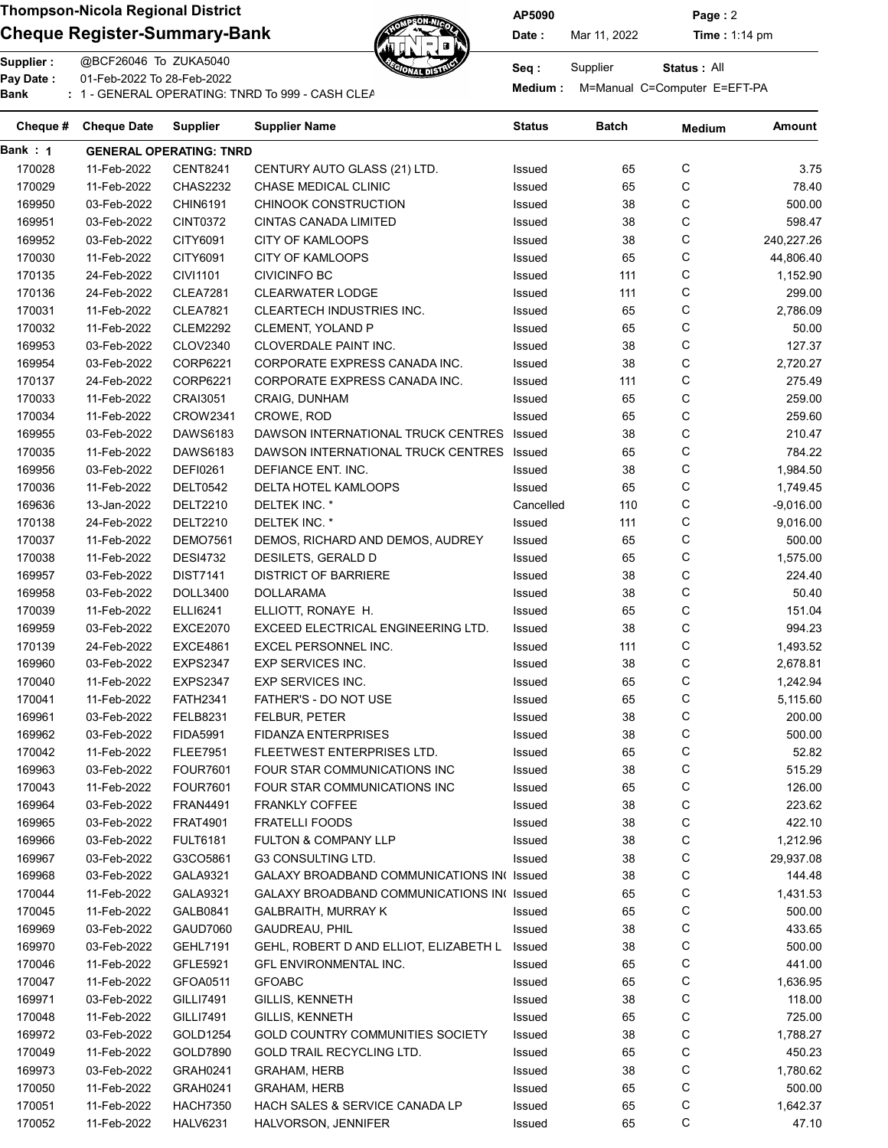## Cheque Register-Summary-Bank Date: Nar 11, 2022 Time : 1:14 pm



AP5090 Page : 2

Status : All

Supplier : @BCF26046 To ZUKA5040 Seq : Supplier : @BCF26046 To ZUKA5040 Pay Date : 01-Feb-2022 To 28-Feb-2022 Pay Date : Computer E=EFT-PA<br>Bank : 1 - GENERAL OPERATING: TNRD To 999 - CASH CLEARNING: TREARNING BANKING BANKING BANKING BANKING BANKING

| Cheque # | <b>Cheque Date</b> | <b>Supplier</b>                | Supplier Name                              | Status    | Batch | <b>Medium</b> | <b>Amount</b> |
|----------|--------------------|--------------------------------|--------------------------------------------|-----------|-------|---------------|---------------|
| Bank : 1 |                    | <b>GENERAL OPERATING: TNRD</b> |                                            |           |       |               |               |
| 170028   | 11-Feb-2022        | <b>CENT8241</b>                | CENTURY AUTO GLASS (21) LTD.               | Issued    | 65    | С             | 3.75          |
| 170029   | 11-Feb-2022        | <b>CHAS2232</b>                | <b>CHASE MEDICAL CLINIC</b>                | Issued    | 65    | С             | 78.40         |
| 169950   | 03-Feb-2022        | CHIN6191                       | <b>CHINOOK CONSTRUCTION</b>                | Issued    | 38    | C             | 500.00        |
| 169951   | 03-Feb-2022        | CINT0372                       | <b>CINTAS CANADA LIMITED</b>               | Issued    | 38    | С             | 598.47        |
| 169952   | 03-Feb-2022        | CITY6091                       | <b>CITY OF KAMLOOPS</b>                    | Issued    | 38    | С             | 240,227.26    |
| 170030   | 11-Feb-2022        | CITY6091                       | <b>CITY OF KAMLOOPS</b>                    | Issued    | 65    | С             | 44,806.40     |
| 170135   | 24-Feb-2022        | <b>CIVI1101</b>                | <b>CIVICINFO BC</b>                        | Issued    | 111   | С             | 1,152.90      |
| 170136   | 24-Feb-2022        | <b>CLEA7281</b>                | <b>CLEARWATER LODGE</b>                    | Issued    | 111   | С             | 299.00        |
| 170031   | 11-Feb-2022        | <b>CLEA7821</b>                | <b>CLEARTECH INDUSTRIES INC.</b>           | Issued    | 65    | С             | 2,786.09      |
| 170032   | 11-Feb-2022        | <b>CLEM2292</b>                | CLEMENT, YOLAND P                          | Issued    | 65    | С             | 50.00         |
| 169953   | 03-Feb-2022        | CLOV2340                       | CLOVERDALE PAINT INC.                      | Issued    | 38    | C             | 127.37        |
| 169954   | 03-Feb-2022        | CORP6221                       | CORPORATE EXPRESS CANADA INC.              | Issued    | 38    | C             | 2,720.27      |
| 170137   | 24-Feb-2022        | CORP6221                       | CORPORATE EXPRESS CANADA INC.              | Issued    | 111   | C             | 275.49        |
| 170033   | 11-Feb-2022        | <b>CRAI3051</b>                | CRAIG, DUNHAM                              | Issued    | 65    | С             | 259.00        |
| 170034   | 11-Feb-2022        | <b>CROW2341</b>                | CROWE, ROD                                 | Issued    | 65    | С             | 259.60        |
| 169955   | 03-Feb-2022        | DAWS6183                       | DAWSON INTERNATIONAL TRUCK CENTRES         | Issued    | 38    | С             | 210.47        |
| 170035   | 11-Feb-2022        | DAWS6183                       | DAWSON INTERNATIONAL TRUCK CENTRES         | Issued    | 65    | С             | 784.22        |
| 169956   | 03-Feb-2022        | <b>DEFI0261</b>                | DEFIANCE ENT. INC.                         | Issued    | 38    | C             | 1,984.50      |
| 170036   | 11-Feb-2022        | DELT0542                       | DELTA HOTEL KAMLOOPS                       | Issued    | 65    | C             | 1,749.45      |
|          |                    |                                |                                            |           |       | C             |               |
| 169636   | 13-Jan-2022        | <b>DELT2210</b>                | DELTEK INC. *                              | Cancelled | 110   |               | $-9,016.00$   |
| 170138   | 24-Feb-2022        | <b>DELT2210</b>                | DELTEK INC. *                              | Issued    | 111   | С             | 9,016.00      |
| 170037   | 11-Feb-2022        | <b>DEMO7561</b>                | DEMOS, RICHARD AND DEMOS, AUDREY           | Issued    | 65    | C             | 500.00        |
| 170038   | 11-Feb-2022        | <b>DESI4732</b>                | DESILETS, GERALD D                         | Issued    | 65    | С             | 1,575.00      |
| 169957   | 03-Feb-2022        | <b>DIST7141</b>                | <b>DISTRICT OF BARRIERE</b>                | Issued    | 38    | С             | 224.40        |
| 169958   | 03-Feb-2022        | DOLL3400                       | <b>DOLLARAMA</b>                           | Issued    | 38    | С             | 50.40         |
| 170039   | 11-Feb-2022        | ELLI6241                       | ELLIOTT, RONAYE H.                         | Issued    | 65    | C             | 151.04        |
| 169959   | 03-Feb-2022        | <b>EXCE2070</b>                | EXCEED ELECTRICAL ENGINEERING LTD.         | Issued    | 38    | С             | 994.23        |
| 170139   | 24-Feb-2022        | <b>EXCE4861</b>                | EXCEL PERSONNEL INC.                       | Issued    | 111   | С             | 1,493.52      |
| 169960   | 03-Feb-2022        | <b>EXPS2347</b>                | EXP SERVICES INC.                          | Issued    | 38    | С             | 2,678.81      |
| 170040   | 11-Feb-2022        | <b>EXPS2347</b>                | <b>EXP SERVICES INC.</b>                   | Issued    | 65    | С             | 1,242.94      |
| 170041   | 11-Feb-2022        | <b>FATH2341</b>                | FATHER'S - DO NOT USE                      | Issued    | 65    | С             | 5,115.60      |
| 169961   | 03-Feb-2022        | <b>FELB8231</b>                | FELBUR, PETER                              | Issued    | 38    | С             | 200.00        |
| 169962   | 03-Feb-2022        | <b>FIDA5991</b>                | <b>FIDANZA ENTERPRISES</b>                 | Issued    | 38    | С             | 500.00        |
| 170042   | 11-Feb-2022        | <b>FLEE7951</b>                | FLEETWEST ENTERPRISES LTD.                 | Issued    | 65    | C             | 52.82         |
| 169963   | 03-Feb-2022        | <b>FOUR7601</b>                | FOUR STAR COMMUNICATIONS INC               | Issued    | 38    | С             | 515.29        |
| 170043   | 11-Feb-2022        | <b>FOUR7601</b>                | FOUR STAR COMMUNICATIONS INC               | Issued    | 65    | С             | 126.00        |
| 169964   | 03-Feb-2022        | <b>FRAN4491</b>                | <b>FRANKLY COFFEE</b>                      | Issued    | 38    | С             | 223.62        |
| 169965   | 03-Feb-2022        | <b>FRAT4901</b>                | <b>FRATELLI FOODS</b>                      | Issued    | 38    | С             | 422.10        |
| 169966   | 03-Feb-2022        | <b>FULT6181</b>                | FULTON & COMPANY LLP                       | Issued    | 38    | С             | 1,212.96      |
| 169967   | 03-Feb-2022        | G3CO5861                       | <b>G3 CONSULTING LTD.</b>                  | Issued    | 38    | С             | 29,937.08     |
| 169968   | 03-Feb-2022        | GALA9321                       | GALAXY BROADBAND COMMUNICATIONS IN( Issued |           | 38    | С             | 144.48        |
| 170044   | 11-Feb-2022        | GALA9321                       | GALAXY BROADBAND COMMUNICATIONS IN(Issued  |           | 65    | С             | 1,431.53      |
| 170045   | 11-Feb-2022        | GALB0841                       | <b>GALBRAITH, MURRAY K</b>                 | Issued    | 65    | С             | 500.00        |
| 169969   | 03-Feb-2022        | <b>GAUD7060</b>                | GAUDREAU, PHIL                             | Issued    | 38    | С             | 433.65        |
| 169970   | 03-Feb-2022        | <b>GEHL7191</b>                | GEHL, ROBERT D AND ELLIOT, ELIZABETH L     | Issued    | 38    | С             | 500.00        |
| 170046   | 11-Feb-2022        | GFLE5921                       | GFL ENVIRONMENTAL INC.                     | Issued    | 65    | С             | 441.00        |
| 170047   | 11-Feb-2022        | GFOA0511                       | <b>GFOABC</b>                              | Issued    | 65    | С             | 1,636.95      |
| 169971   | 03-Feb-2022        | GILLI7491                      | GILLIS, KENNETH                            | Issued    | 38    | C             | 118.00        |
| 170048   | 11-Feb-2022        | GILLI7491                      | GILLIS, KENNETH                            | Issued    | 65    | C             | 725.00        |
| 169972   | 03-Feb-2022        | GOLD1254                       | GOLD COUNTRY COMMUNITIES SOCIETY           | Issued    | 38    | C             | 1,788.27      |
| 170049   | 11-Feb-2022        | GOLD7890                       | GOLD TRAIL RECYCLING LTD.                  | Issued    | 65    | С             | 450.23        |
| 169973   | 03-Feb-2022        | GRAH0241                       | <b>GRAHAM, HERB</b>                        | Issued    | 38    | С             | 1,780.62      |
| 170050   | 11-Feb-2022        | GRAH0241                       | <b>GRAHAM, HERB</b>                        | Issued    | 65    | С             | 500.00        |
| 170051   | 11-Feb-2022        | <b>HACH7350</b>                | HACH SALES & SERVICE CANADA LP             | Issued    | 65    | С             | 1,642.37      |
|          |                    |                                |                                            |           | 65    | С             | 47.10         |
| 170052   | 11-Feb-2022        | <b>HALV6231</b>                | HALVORSON, JENNIFER                        | Issued    |       |               |               |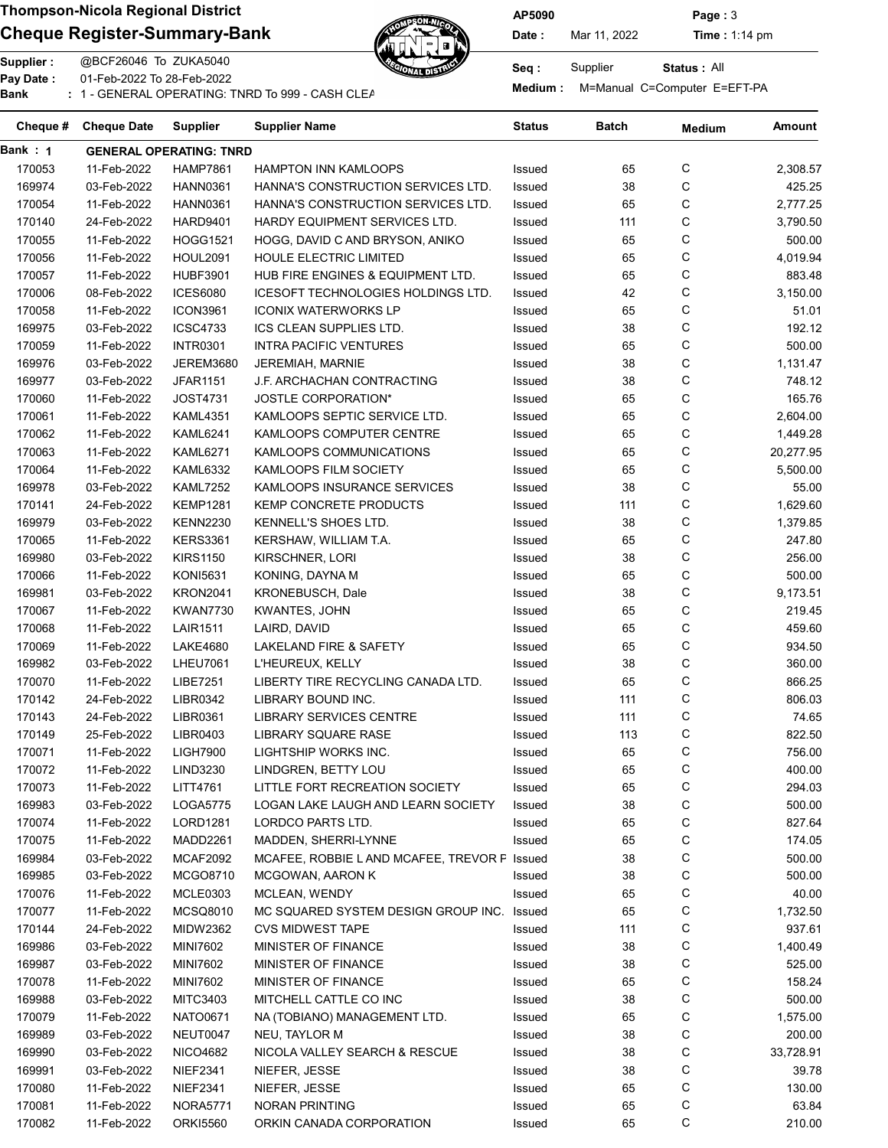## Cheque Register-Summary-Bank  $\overbrace{A}$  Date: Mar 11, 2022 Time : 1:14 pm



AP5090 Page : 3

Status : All

Supplier : @BCF26046 To ZUKA5040 Seq : Supplier : @BCF26046 To ZUKA5040 Pay Date : 01-Feb-2022 To 28-Feb-2022

Pay Date : Computer E=EFT-PA<br>Bank : 1 - GENERAL OPERATING: TNRD To 999 - CASH CLEARNING: TREARNING BANKING BANKING BANKING BANKING BANKING

| Cheque # | <b>Cheque Date</b> | Supplier                       | <b>Supplier Name</b>                        | Status | Batch | <b>Medium</b> | Amount    |
|----------|--------------------|--------------------------------|---------------------------------------------|--------|-------|---------------|-----------|
| Bank : 1 |                    | <b>GENERAL OPERATING: TNRD</b> |                                             |        |       |               |           |
| 170053   | 11-Feb-2022        | <b>HAMP7861</b>                | <b>HAMPTON INN KAMLOOPS</b>                 | Issued | 65    | С             | 2,308.57  |
| 169974   | 03-Feb-2022        | <b>HANN0361</b>                | HANNA'S CONSTRUCTION SERVICES LTD.          | Issued | 38    | С             | 425.25    |
| 170054   | 11-Feb-2022        | <b>HANN0361</b>                | HANNA'S CONSTRUCTION SERVICES LTD.          | Issued | 65    | C             | 2,777.25  |
| 170140   | 24-Feb-2022        | <b>HARD9401</b>                | HARDY EQUIPMENT SERVICES LTD.               | Issued | 111   | С             | 3,790.50  |
| 170055   | 11-Feb-2022        | <b>HOGG1521</b>                | HOGG, DAVID C AND BRYSON, ANIKO             | Issued | 65    | С             | 500.00    |
| 170056   | 11-Feb-2022        | <b>HOUL2091</b>                | HOULE ELECTRIC LIMITED                      | Issued | 65    | C             | 4,019.94  |
| 170057   | 11-Feb-2022        | <b>HUBF3901</b>                | HUB FIRE ENGINES & EQUIPMENT LTD.           | Issued | 65    | С             | 883.48    |
| 170006   | 08-Feb-2022        | <b>ICES6080</b>                | ICESOFT TECHNOLOGIES HOLDINGS LTD.          | Issued | 42    | С             | 3,150.00  |
| 170058   | 11-Feb-2022        | <b>ICON3961</b>                | <b>ICONIX WATERWORKS LP</b>                 | Issued | 65    | С             | 51.01     |
| 169975   | 03-Feb-2022        | <b>ICSC4733</b>                | ICS CLEAN SUPPLIES LTD.                     | Issued | 38    | С             | 192.12    |
| 170059   | 11-Feb-2022        | <b>INTR0301</b>                | <b>INTRA PACIFIC VENTURES</b>               | Issued | 65    | С             | 500.00    |
| 169976   | 03-Feb-2022        | JEREM3680                      | JEREMIAH, MARNIE                            | Issued | 38    | С             | 1,131.47  |
| 169977   | 03-Feb-2022        | <b>JFAR1151</b>                | J.F. ARCHACHAN CONTRACTING                  | Issued | 38    | С             | 748.12    |
| 170060   | 11-Feb-2022        | <b>JOST4731</b>                | <b>JOSTLE CORPORATION*</b>                  | Issued | 65    | С             | 165.76    |
| 170061   | 11-Feb-2022        | <b>KAML4351</b>                | KAMLOOPS SEPTIC SERVICE LTD.                | Issued | 65    | C             | 2,604.00  |
| 170062   | 11-Feb-2022        | <b>KAML6241</b>                | KAMLOOPS COMPUTER CENTRE                    | Issued | 65    | С             | 1,449.28  |
| 170063   | 11-Feb-2022        | <b>KAML6271</b>                | KAMLOOPS COMMUNICATIONS                     | Issued | 65    | С             | 20,277.95 |
| 170064   | 11-Feb-2022        | <b>KAML6332</b>                | KAMLOOPS FILM SOCIETY                       | Issued | 65    | C             | 5,500.00  |
| 169978   | 03-Feb-2022        | <b>KAML7252</b>                | KAMLOOPS INSURANCE SERVICES                 | Issued | 38    | С             | 55.00     |
| 170141   | 24-Feb-2022        | <b>KEMP1281</b>                | KEMP CONCRETE PRODUCTS                      | Issued | 111   | С             | 1,629.60  |
| 169979   | 03-Feb-2022        | <b>KENN2230</b>                | <b>KENNELL'S SHOES LTD.</b>                 | Issued | 38    | С             |           |
|          |                    |                                |                                             |        |       |               | 1,379.85  |
| 170065   | 11-Feb-2022        | <b>KERS3361</b>                | KERSHAW, WILLIAM T.A.                       | Issued | 65    | С             | 247.80    |
| 169980   | 03-Feb-2022        | <b>KIRS1150</b>                | KIRSCHNER, LORI                             | Issued | 38    | С             | 256.00    |
| 170066   | 11-Feb-2022        | <b>KONI5631</b>                | KONING, DAYNA M                             | Issued | 65    | С             | 500.00    |
| 169981   | 03-Feb-2022        | KRON2041                       | KRONEBUSCH, Dale                            | Issued | 38    | С             | 9,173.51  |
| 170067   | 11-Feb-2022        | <b>KWAN7730</b>                | <b>KWANTES, JOHN</b>                        | Issued | 65    | С             | 219.45    |
| 170068   | 11-Feb-2022        | <b>LAIR1511</b>                | LAIRD, DAVID                                | Issued | 65    | С             | 459.60    |
| 170069   | 11-Feb-2022        | <b>LAKE4680</b>                | LAKELAND FIRE & SAFETY                      | Issued | 65    | C             | 934.50    |
| 169982   | 03-Feb-2022        | <b>LHEU7061</b>                | L'HEUREUX, KELLY                            | Issued | 38    | C             | 360.00    |
| 170070   | 11-Feb-2022        | LIBE7251                       | LIBERTY TIRE RECYCLING CANADA LTD.          | Issued | 65    | С             | 866.25    |
| 170142   | 24-Feb-2022        | LIBR0342                       | LIBRARY BOUND INC.                          | Issued | 111   | С             | 806.03    |
| 170143   | 24-Feb-2022        | LIBR0361                       | <b>LIBRARY SERVICES CENTRE</b>              | Issued | 111   | С             | 74.65     |
| 170149   | 25-Feb-2022        | LIBR0403                       | <b>LIBRARY SQUARE RASE</b>                  | Issued | 113   | С             | 822.50    |
| 170071   | 11-Feb-2022        | <b>LIGH7900</b>                | LIGHTSHIP WORKS INC.                        | Issued | 65    | C             | 756.00    |
| 170072   | 11-Feb-2022        | LIND3230                       | LINDGREN, BETTY LOU                         | Issued | 65    | C             | 400.00    |
| 170073   | 11-Feb-2022        | LITT4761                       | LITTLE FORT RECREATION SOCIETY              | Issued | 65    | C             | 294.03    |
| 169983   | 03-Feb-2022        | LOGA5775                       | LOGAN LAKE LAUGH AND LEARN SOCIETY          | Issued | 38    | C             | 500.00    |
| 170074   | 11-Feb-2022        | LORD1281                       | LORDCO PARTS LTD.                           | Issued | 65    | C             | 827.64    |
| 170075   | 11-Feb-2022        | MADD2261                       | MADDEN, SHERRI-LYNNE                        | Issued | 65    | C             | 174.05    |
| 169984   | 03-Feb-2022        | <b>MCAF2092</b>                | MCAFEE, ROBBIE LAND MCAFEE, TREVOR F Issued |        | 38    | C             | 500.00    |
| 169985   | 03-Feb-2022        | MCGO8710                       | <b>MCGOWAN, AARON K</b>                     | Issued | 38    | C             | 500.00    |
| 170076   | 11-Feb-2022        | MCLE0303                       | MCLEAN, WENDY                               | Issued | 65    | C             | 40.00     |
| 170077   | 11-Feb-2022        | MCSQ8010                       | MC SQUARED SYSTEM DESIGN GROUP INC.         | Issued | 65    | C             | 1,732.50  |
| 170144   | 24-Feb-2022        | <b>MIDW2362</b>                | <b>CVS MIDWEST TAPE</b>                     | Issued | 111   | С             | 937.61    |
| 169986   | 03-Feb-2022        | MINI7602                       | MINISTER OF FINANCE                         | Issued | 38    | C             | 1,400.49  |
| 169987   | 03-Feb-2022        | <b>MINI7602</b>                | MINISTER OF FINANCE                         | Issued | 38    | C             | 525.00    |
| 170078   | 11-Feb-2022        | MINI7602                       | MINISTER OF FINANCE                         | Issued | 65    | C             | 158.24    |
| 169988   | 03-Feb-2022        | MITC3403                       | MITCHELL CATTLE CO INC                      | Issued | 38    | C             | 500.00    |
| 170079   | 11-Feb-2022        | NATO0671                       | NA (TOBIANO) MANAGEMENT LTD.                | Issued | 65    | C             | 1,575.00  |
| 169989   | 03-Feb-2022        | NEUT0047                       | NEU, TAYLOR M                               | Issued | 38    | C             | 200.00    |
| 169990   | 03-Feb-2022        | NICO4682                       | NICOLA VALLEY SEARCH & RESCUE               | Issued | 38    | C             | 33,728.91 |
| 169991   | 03-Feb-2022        | <b>NIEF2341</b>                | NIEFER, JESSE                               | Issued | 38    | С             | 39.78     |
| 170080   | 11-Feb-2022        | <b>NIEF2341</b>                | NIEFER, JESSE                               | Issued | 65    | С             | 130.00    |
| 170081   | 11-Feb-2022        | <b>NORA5771</b>                | NORAN PRINTING                              | Issued | 65    | C             | 63.84     |
| 170082   | 11-Feb-2022        | <b>ORKI5560</b>                | ORKIN CANADA CORPORATION                    | Issued | 65    | С             | 210.00    |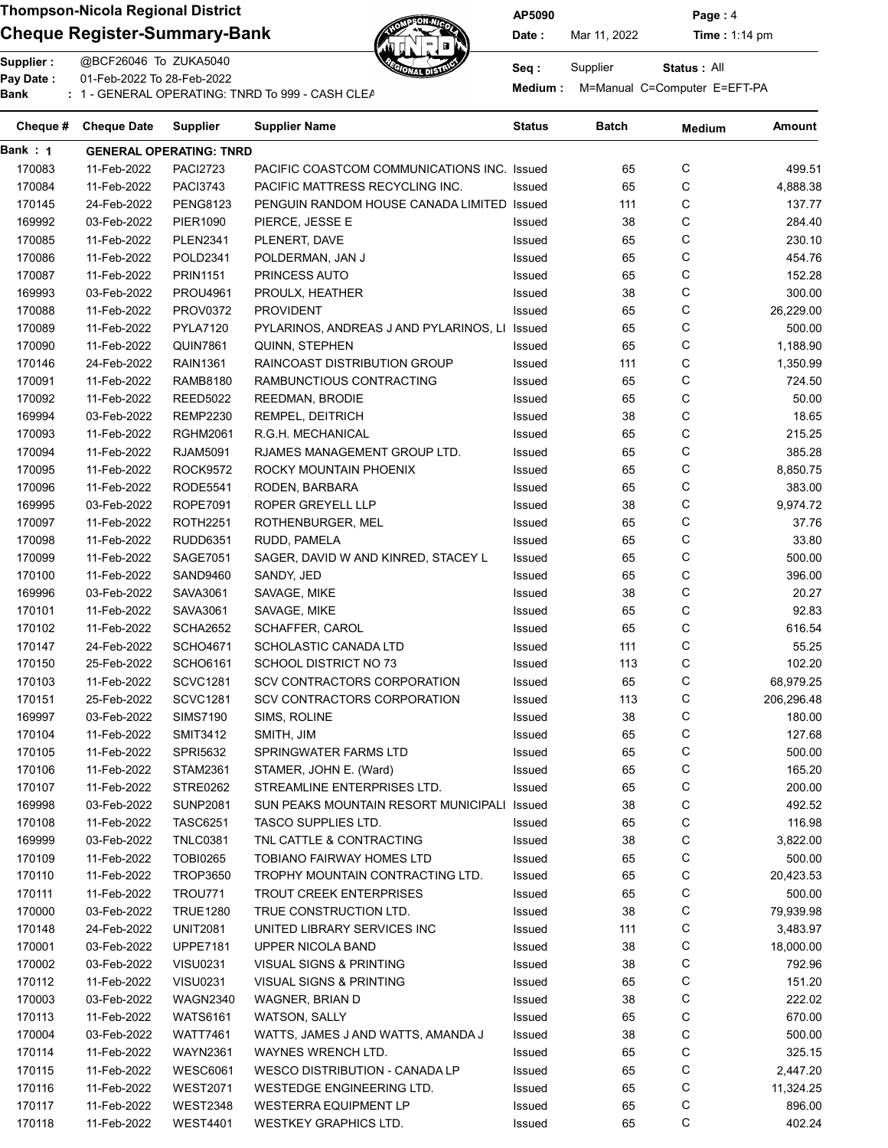### Cheque Register-Summary-Bank  $\overbrace{A}$  Date: Mar 11, 2022 Time : 1:14 pm



AP5090 Page : 4

Status : All

Supplier : @BCF26046 To ZUKA5040 Seq : Supplier : @BCF26046 To ZUKA5040 Pay Date : 01-Feb-2022 To 28-Feb-2022

Pay Date : Computer E=EFT-PA<br>Bank : 1 - GENERAL OPERATING: TNRD To 999 - CASH CLEARNING: TREARNING BANKING BANKING BANKING BANKING BANKING

| Cheque # | <b>Cheque Date</b> | Supplier                       | <b>Supplier Name</b>                        | Status | Batch | <b>Medium</b> | Amount     |
|----------|--------------------|--------------------------------|---------------------------------------------|--------|-------|---------------|------------|
| Bank : 1 |                    | <b>GENERAL OPERATING: TNRD</b> |                                             |        |       |               |            |
| 170083   | 11-Feb-2022        | <b>PACI2723</b>                | PACIFIC COASTCOM COMMUNICATIONS INC. Issued |        | 65    | С             | 499.51     |
| 170084   | 11-Feb-2022        | <b>PACI3743</b>                | PACIFIC MATTRESS RECYCLING INC.             | Issued | 65    | C             | 4,888.38   |
| 170145   | 24-Feb-2022        | <b>PENG8123</b>                | PENGUIN RANDOM HOUSE CANADA LIMITED Issued  |        | 111   | С             | 137.77     |
| 169992   | 03-Feb-2022        | PIER1090                       | PIERCE, JESSE E                             | Issued | 38    | С             | 284.40     |
| 170085   | 11-Feb-2022        | <b>PLEN2341</b>                | PLENERT, DAVE                               | Issued | 65    | C             | 230.10     |
| 170086   | 11-Feb-2022        | POLD2341                       | POLDERMAN, JAN J                            | Issued | 65    | С             | 454.76     |
| 170087   | 11-Feb-2022        | <b>PRIN1151</b>                | PRINCESS AUTO                               | Issued | 65    | С             | 152.28     |
| 169993   | 03-Feb-2022        | PROU4961                       | PROULX, HEATHER                             | Issued | 38    | С             | 300.00     |
| 170088   | 11-Feb-2022        | PROV0372                       | <b>PROVIDENT</b>                            | Issued | 65    | С             | 26,229.00  |
| 170089   | 11-Feb-2022        | <b>PYLA7120</b>                | PYLARINOS, ANDREAS J AND PYLARINOS, LI      | Issued | 65    | C             | 500.00     |
| 170090   | 11-Feb-2022        | <b>QUIN7861</b>                | QUINN, STEPHEN                              | Issued | 65    | C             | 1,188.90   |
| 170146   | 24-Feb-2022        | <b>RAIN1361</b>                | RAINCOAST DISTRIBUTION GROUP                | Issued | 111   | С             | 1,350.99   |
| 170091   | 11-Feb-2022        | RAMB8180                       | RAMBUNCTIOUS CONTRACTING                    | Issued | 65    | С             | 724.50     |
| 170092   | 11-Feb-2022        | <b>REED5022</b>                | REEDMAN, BRODIE                             | Issued | 65    | C             | 50.00      |
| 169994   | 03-Feb-2022        | <b>REMP2230</b>                | REMPEL, DEITRICH                            | Issued | 38    | C             | 18.65      |
| 170093   | 11-Feb-2022        | <b>RGHM2061</b>                | R.G.H. MECHANICAL                           | Issued | 65    | С             | 215.25     |
| 170094   | 11-Feb-2022        | RJAM5091                       | RJAMES MANAGEMENT GROUP LTD.                | Issued | 65    | С             | 385.28     |
| 170095   | 11-Feb-2022        | <b>ROCK9572</b>                | ROCKY MOUNTAIN PHOENIX                      | Issued | 65    | C             | 8,850.75   |
| 170096   | 11-Feb-2022        | <b>RODE5541</b>                | RODEN, BARBARA                              | Issued | 65    | С             | 383.00     |
| 169995   | 03-Feb-2022        | <b>ROPE7091</b>                | <b>ROPER GREYELL LLP</b>                    | Issued | 38    | С             | 9,974.72   |
|          |                    |                                | ROTHENBURGER, MEL                           |        | 65    | С             |            |
| 170097   | 11-Feb-2022        | <b>ROTH2251</b>                |                                             | Issued |       |               | 37.76      |
| 170098   | 11-Feb-2022        | <b>RUDD6351</b>                | RUDD, PAMELA                                | Issued | 65    | С             | 33.80      |
| 170099   | 11-Feb-2022        | <b>SAGE7051</b>                | SAGER, DAVID W AND KINRED, STACEY L         | Issued | 65    | С             | 500.00     |
| 170100   | 11-Feb-2022        | SAND9460                       | SANDY, JED                                  | Issued | 65    | С             | 396.00     |
| 169996   | 03-Feb-2022        | SAVA3061                       | SAVAGE, MIKE                                | Issued | 38    | С             | 20.27      |
| 170101   | 11-Feb-2022        | SAVA3061                       | SAVAGE, MIKE                                | Issued | 65    | С             | 92.83      |
| 170102   | 11-Feb-2022        | <b>SCHA2652</b>                | SCHAFFER, CAROL                             | Issued | 65    | С             | 616.54     |
| 170147   | 24-Feb-2022        | <b>SCHO4671</b>                | SCHOLASTIC CANADA LTD                       | Issued | 111   | С             | 55.25      |
| 170150   | 25-Feb-2022        | <b>SCHO6161</b>                | <b>SCHOOL DISTRICT NO 73</b>                | Issued | 113   | С             | 102.20     |
| 170103   | 11-Feb-2022        | <b>SCVC1281</b>                | SCV CONTRACTORS CORPORATION                 | Issued | 65    | С             | 68,979.25  |
| 170151   | 25-Feb-2022        | <b>SCVC1281</b>                | SCV CONTRACTORS CORPORATION                 | Issued | 113   | С             | 206,296.48 |
| 169997   | 03-Feb-2022        | <b>SIMS7190</b>                | SIMS, ROLINE                                | Issued | 38    | С             | 180.00     |
| 170104   | 11-Feb-2022        | <b>SMIT3412</b>                | SMITH, JIM                                  | Issued | 65    | С             | 127.68     |
| 170105   | 11-Feb-2022        | SPRI5632                       | SPRINGWATER FARMS LTD                       | Issued | 65    | C             | 500.00     |
| 170106   | 11-Feb-2022        | <b>STAM2361</b>                | STAMER, JOHN E. (Ward)                      | Issued | 65    | C             | 165.20     |
| 170107   | 11-Feb-2022        | <b>STRE0262</b>                | STREAMLINE ENTERPRISES LTD.                 | Issued | 65    | C             | 200.00     |
| 169998   | 03-Feb-2022        | <b>SUNP2081</b>                | SUN PEAKS MOUNTAIN RESORT MUNICIPALI        | Issued | 38    | C             | 492.52     |
| 170108   | 11-Feb-2022        | TASC6251                       | TASCO SUPPLIES LTD.                         | Issued | 65    | C             | 116.98     |
| 169999   | 03-Feb-2022        | <b>TNLC0381</b>                | TNL CATTLE & CONTRACTING                    | Issued | 38    | C             | 3,822.00   |
| 170109   | 11-Feb-2022        | <b>TOBI0265</b>                | <b>TOBIANO FAIRWAY HOMES LTD</b>            | Issued | 65    | C             | 500.00     |
| 170110   | 11-Feb-2022        | <b>TROP3650</b>                | TROPHY MOUNTAIN CONTRACTING LTD.            | Issued | 65    | C             | 20,423.53  |
| 170111   | 11-Feb-2022        | TROU771                        | <b>TROUT CREEK ENTERPRISES</b>              | Issued | 65    | C             | 500.00     |
| 170000   | 03-Feb-2022        | <b>TRUE1280</b>                | TRUE CONSTRUCTION LTD.                      | Issued | 38    | C             | 79,939.98  |
| 170148   | 24-Feb-2022        | <b>UNIT2081</b>                | UNITED LIBRARY SERVICES INC                 | Issued | 111   | C             | 3,483.97   |
| 170001   | 03-Feb-2022        | <b>UPPE7181</b>                | UPPER NICOLA BAND                           | Issued | 38    | C             | 18,000.00  |
| 170002   | 03-Feb-2022        | <b>VISU0231</b>                | VISUAL SIGNS & PRINTING                     | Issued | 38    | C             | 792.96     |
| 170112   | 11-Feb-2022        | <b>VISU0231</b>                | VISUAL SIGNS & PRINTING                     | Issued | 65    | C             | 151.20     |
| 170003   | 03-Feb-2022        | <b>WAGN2340</b>                | WAGNER, BRIAN D                             | Issued | 38    | C             | 222.02     |
| 170113   | 11-Feb-2022        | <b>WATS6161</b>                | WATSON, SALLY                               | Issued | 65    | C             | 670.00     |
| 170004   | 03-Feb-2022        | <b>WATT7461</b>                | WATTS, JAMES J AND WATTS, AMANDA J          | Issued | 38    | C             | 500.00     |
| 170114   | 11-Feb-2022        | <b>WAYN2361</b>                | WAYNES WRENCH LTD.                          | Issued | 65    | C             | 325.15     |
| 170115   | 11-Feb-2022        | <b>WESC6061</b>                | <b>WESCO DISTRIBUTION - CANADA LP</b>       | Issued | 65    | С             | 2,447.20   |
| 170116   | 11-Feb-2022        | <b>WEST2071</b>                | WESTEDGE ENGINEERING LTD.                   | Issued | 65    | С             | 11,324.25  |
| 170117   | 11-Feb-2022        | <b>WEST2348</b>                | <b>WESTERRA EQUIPMENT LP</b>                | Issued | 65    | C             | 896.00     |
| 170118   | 11-Feb-2022        | <b>WEST4401</b>                | <b>WESTKEY GRAPHICS LTD.</b>                | Issued | 65    | С             | 402.24     |